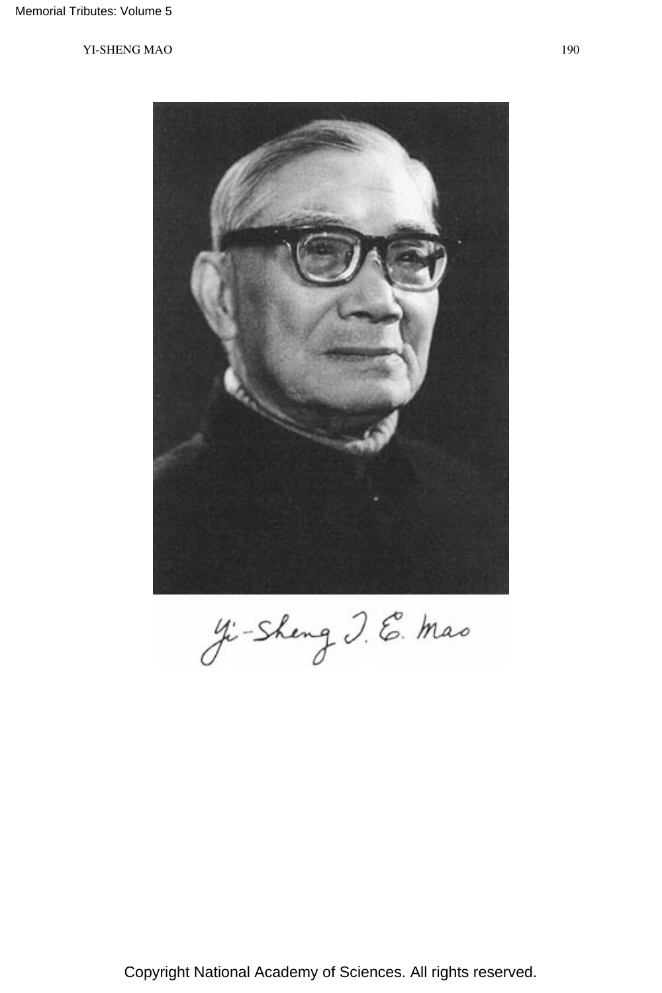

Ji-Sheng J. E. Mas

Copyright National Academy of Sciences. All rights reserved.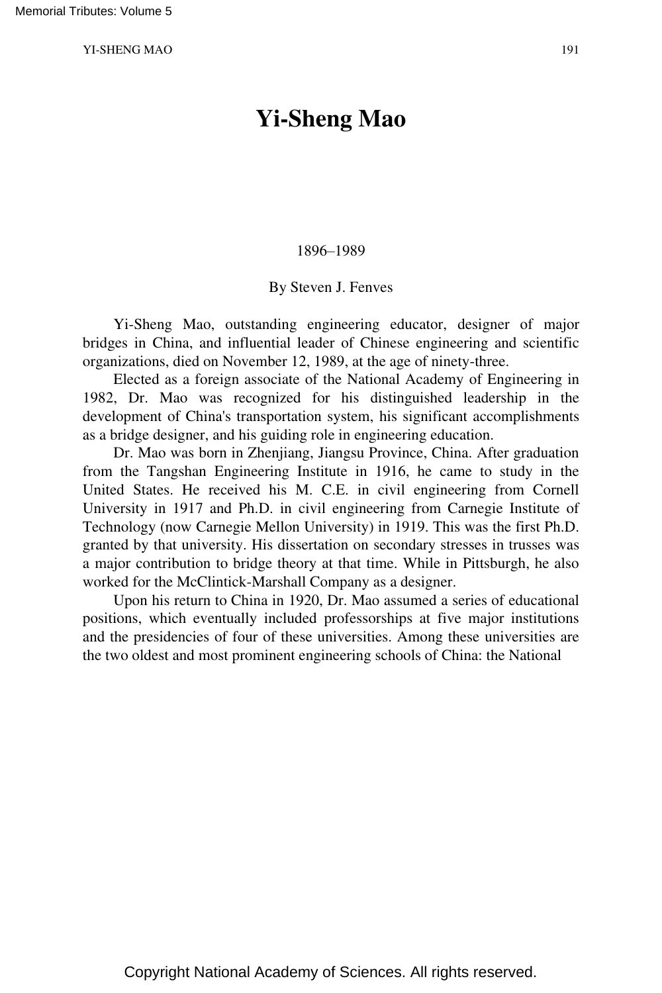# **Yi-Sheng Mao**

#### 1896–1989

### By Steven J. Fenves

Yi-Sheng Mao, outstanding engineering educator, designer of major bridges in China, and influential leader of Chinese engineering and scientific organizations, died on November 12, 1989, at the age of ninety-three.

Elected as a foreign associate of the National Academy of Engineering in 1982, Dr. Mao was recognized for his distinguished leadership in the development of China's transportation system, his significant accomplishments as a bridge designer, and his guiding role in engineering education.

Dr. Mao was born in Zhenjiang, Jiangsu Province, China. After graduation from the Tangshan Engineering Institute in 1916, he came to study in the United States. He received his M. C.E. in civil engineering from Cornell University in 1917 and Ph.D. in civil engineering from Carnegie Institute of Technology (now Carnegie Mellon University) in 1919. This was the first Ph.D. granted by that university. His dissertation on secondary stresses in trusses was a major contribution to bridge theory at that time. While in Pittsburgh, he also worked for the McClintick-Marshall Company as a designer.

Upon his return to China in 1920, Dr. Mao assumed a series of educational positions, which eventually included professorships at five major institutions and the presidencies of four of these universities. Among these universities are the two oldest and most prominent engineering schools of China: the National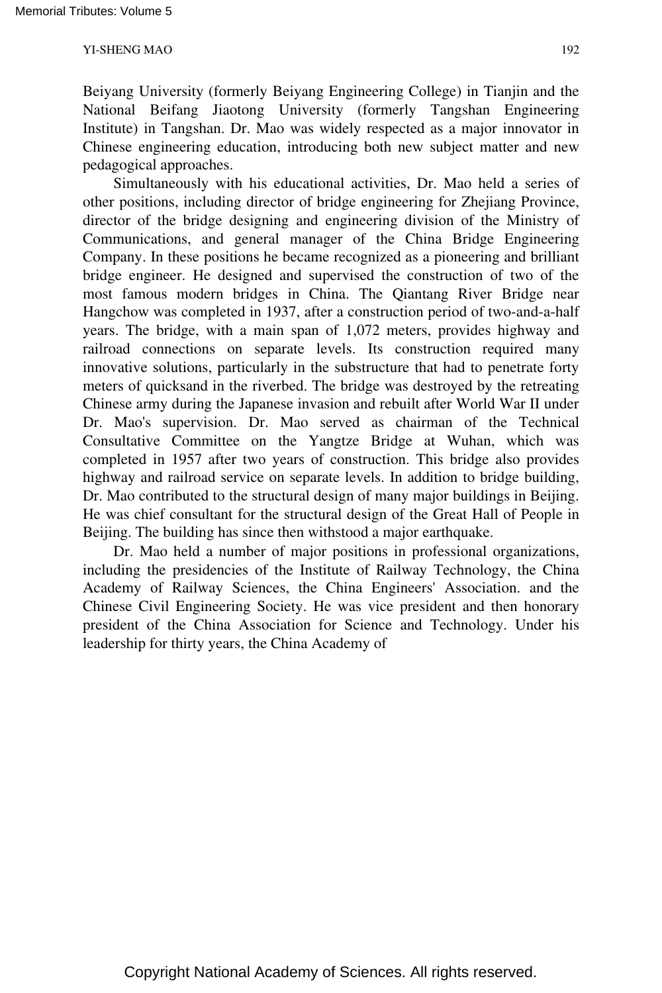Beiyang University (formerly Beiyang Engineering College) in Tianjin and the National Beifang Jiaotong University (formerly Tangshan Engineering Institute) in Tangshan. Dr. Mao was widely respected as a major innovator in Chinese engineering education, introducing both new subject matter and new pedagogical approaches.

Simultaneously with his educational activities, Dr. Mao held a series of other positions, including director of bridge engineering for Zhejiang Province, director of the bridge designing and engineering division of the Ministry of Communications, and general manager of the China Bridge Engineering Company. In these positions he became recognized as a pioneering and brilliant bridge engineer. He designed and supervised the construction of two of the most famous modern bridges in China. The Qiantang River Bridge near Hangchow was completed in 1937, after a construction period of two-and-a-half years. The bridge, with a main span of 1,072 meters, provides highway and railroad connections on separate levels. Its construction required many innovative solutions, particularly in the substructure that had to penetrate forty meters of quicksand in the riverbed. The bridge was destroyed by the retreating Chinese army during the Japanese invasion and rebuilt after World War II under Dr. Mao's supervision. Dr. Mao served as chairman of the Technical Consultative Committee on the Yangtze Bridge at Wuhan, which was completed in 1957 after two years of construction. This bridge also provides highway and railroad service on separate levels. In addition to bridge building, Dr. Mao contributed to the structural design of many major buildings in Beijing. He was chief consultant for the structural design of the Great Hall of People in Beijing. The building has since then withstood a major earthquake.

Dr. Mao held a number of major positions in professional organizations, including the presidencies of the Institute of Railway Technology, the China Academy of Railway Sciences, the China Engineers' Association. and the Chinese Civil Engineering Society. He was vice president and then honorary president of the China Association for Science and Technology. Under his leadership for thirty years, the China Academy of